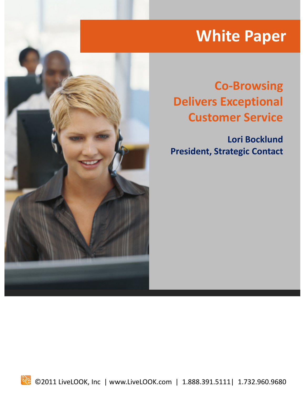# **White Paper**



## **Co-Browsing Delivers Exceptional Customer Service**

**Lori Bocklund President, Strategic Contact**

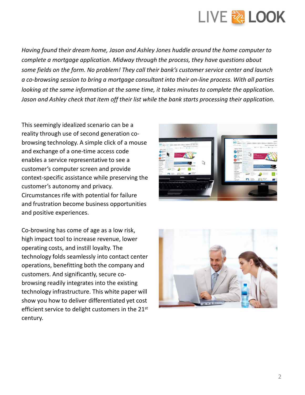

*Having found their dream home, Jason and Ashley Jones huddle around the home computer to complete a mortgage application. Midway through the process, they have questions about some fields on the form. No problem! They call their bank's customer service center and launch a co-browsing session to bring a mortgage consultant into their on-line process. With all parties looking at the same information at the same time, it takes minutes to complete the application. Jason and Ashley check that item off their list while the bank starts processing their application.*

This seemingly idealized scenario can be a reality through use of second generation cobrowsing technology. A simple click of a mouse and exchange of a one-time access code enables a service representative to see a customer's computer screen and provide context-specific assistance while preserving the customer's autonomy and privacy. Circumstances rife with potential for failure and frustration become business opportunities and positive experiences.

Co-browsing has come of age as a low risk, high impact tool to increase revenue, lower operating costs, and instill loyalty. The technology folds seamlessly into contact center operations, benefitting both the company and customers. And significantly, secure cobrowsing readily integrates into the existing technology infrastructure. This white paper will show you how to deliver differentiated yet cost efficient service to delight customers in the 21<sup>st</sup> century.

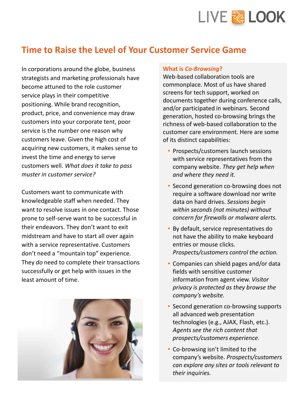

### **Time to Raise the Level of Your Customer Service Game**

In corporations around the globe, business strategists and marketing professionals have become attuned to the role customer service plays in their competitive positioning. While brand recognition, product, price, and convenience may draw customers into your corporate tent, poor service is the number one reason why customers leave. Given the high cost of acquiring new customers, it makes sense to invest the time and energy to serve customers well. *What does it take to pass muster in customer service?*

Customers want to communicate with knowledgeable staff when needed. They want to resolve issues in one contact. Those prone to self-serve want to be successful in their endeavors. They don't want to exit midstream and have to start all over again with a service representative. Customers don't need a "mountain top" experience. They *do* need to complete their transactions successfully or get help with issues in the least amount of time.



#### **What is** *Co-Browsing***?**

Web-based collaboration tools are commonplace. Most of us have shared screens for tech support, worked on documents together during conference calls, and/or participated in webinars. Second generation, hosted co-browsing brings the richness of web-based collaboration to the customer care environment. Here are some of its distinct capabilities:

- Prospects/customers launch sessions with service representatives from the company website. *They get help when and where they need it.*
- Second generation co-browsing does not require a software download nor write data on hard drives. *Sessions begin within seconds (not minutes) without concern for firewalls or malware alerts.*
- By default, service representatives do not have the ability to make keyboard entries or mouse clicks. *Prospects/customers control the action.*
- Companies can shield pages and/or data fields with sensitive customer information from agent view. *Visitor privacy is protected as they browse the company's website.*
- Second generation co-browsing supports all advanced web presentation technologies (e.g., AJAX, Flash, etc.). *Agents see the rich content that prospects/customers experience.*
- Co-browsing isn't limited to the company's website. *Prospects/customers can explore any sites or tools relevant to their inquiries.*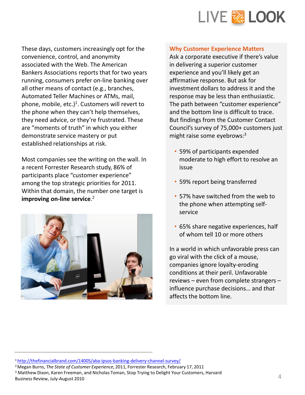

These days, customers increasingly opt for the convenience, control, and anonymity associated with the Web. The American Bankers Associations reports that for two years running, consumers prefer on-line banking over all other means of contact (e.g., branches, Automated Teller Machines or ATMs, mail, phone, mobile, etc.)<sup>1</sup>. Customers will revert to the phone when they can't help themselves, they need advice, or they're frustrated. These are "moments of truth" in which you either demonstrate service mastery or put established relationships at risk.

Most companies see the writing on the wall. In a recent Forrester Research study, 86% of participants place "customer experience" among the top strategic priorities for 2011. Within that domain, the number one target is **improving on-line service**. 2



#### **Why Customer Experience Matters**

Ask a corporate executive if there's value in delivering a superior customer experience and you'll likely get an affirmative response. But ask for investment dollars to address it and the response may be less than enthusiastic. The path between "customer experience" and the bottom line is difficult to trace. But findings from the Customer Contact Council's survey of 75,000+ customers just might raise some eyebrows: $3$ 

- 59% of participants expended moderate to high effort to resolve an issue
- 59% report being transferred
- 57% have switched from the web to the phone when attempting selfservice
- 65% share negative experiences, half of whom tell 10 or more others

In a world in which unfavorable press can go viral with the click of a mouse, companies ignore loyalty-eroding conditions at their peril. Unfavorable reviews – even from complete strangers – influence purchase decisions… and *that* affects the bottom line.

<sup>3</sup> Matthew Dixon, Karen Freeman, and Nicholas Toman, Stop Trying to Delight Your Customers, Harvard Business Review, July-August 2010

<sup>1</sup>http://thefinancialbrand.com/14005/aba-ipsos-banking-delivery-channel-survey/

<sup>2</sup>Megan Burns, *The State of Customer Experience*, 2011, Forrester Research, February 17, 2011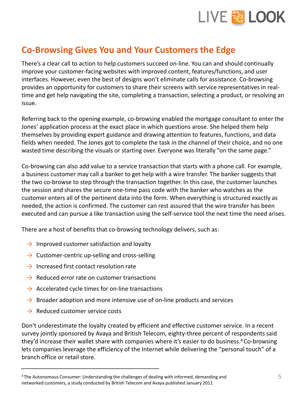

### **Co-Browsing Gives You and Your Customers the Edge**

There's a clear call to action to help customers succeed on-line. You can and should continually improve your customer-facing websites with improved content, features/functions, and user interfaces. However, even the best of designs won't eliminate calls for assistance. Co-browsing provides an opportunity for customers to share their screens with service representatives in realtime and get help navigating the site, completing a transaction, selecting a product, or resolving an issue.

Referring back to the opening example, co-browsing enabled the mortgage consultant to enter the Jones' application process at the exact place in which questions arose. She helped them help themselves by providing expert guidance and drawing attention to features, functions, and data fields when needed. The Jones got to complete the task in the channel of their choice, and no one wasted time describing the visuals or starting over. Everyone was literally "on the same page."

Co-browsing can also add value to a service transaction that starts with a phone call. For example, a business customer may call a banker to get help with a wire transfer. The banker suggests that the two co-browse to step through the transaction together. In this case, the customer launches the session and shares the secure one-time pass code with the banker who watches as the customer enters all of the pertinent data into the form. When everything is structured exactly as needed, the action is confirmed. The customer can rest assured that the wire transfer has been executed and can pursue a like transaction using the self-service tool the next time the need arises.

There are a host of benefits that co-browsing technology delivers, such as:

- $\rightarrow$  Improved customer satisfaction and loyalty
- $\rightarrow$  Customer-centric up-selling and cross-selling
- $\rightarrow$  Increased first contact resolution rate
- $\rightarrow$  Reduced error rate on customer transactions
- $\rightarrow$  Accelerated cycle times for on-line transactions
- $\rightarrow$  Broader adoption and more intensive use of on-line products and services
- $\rightarrow$  Reduced customer service costs

Don't underestimate the loyalty created by efficient and effective customer service. In a recent survey jointly sponsored by Avaya and British Telecom, eighty-three percent of respondents said they'd increase their wallet share with companies where it's easier to do business.<sup>4</sup> Co-browsing lets companies leverage the efficiency of the Internet while delivering the "personal touch" of a branch office or retail store.

<sup>4</sup>The Autonomous Consumer: Understanding the challenges of dealing with informed, demanding and networked customers, a study conducted by British Telecom and Avaya published January 2011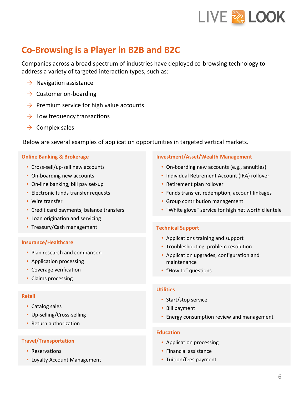

### **Co-Browsing is a Player in B2B and B2C**

Companies across a broad spectrum of industries have deployed co-browsing technology to address a variety of targeted interaction types, such as:

- $\rightarrow$  Navigation assistance
- $\rightarrow$  Customer on-boarding
- $\rightarrow$  Premium service for high value accounts
- $\rightarrow$  Low frequency transactions
- $\rightarrow$  Complex sales

Below are several examples of application opportunities in targeted vertical markets.

#### **Online Banking & Brokerage**

- Cross-sell/up-sell new accounts
- On-boarding new accounts
- On-line banking, bill pay set-up
- Electronic funds transfer requests
- Wire transfer
- Credit card payments, balance transfers
- Loan origination and servicing
- Treasury/Cash management

#### **Insurance/Healthcare**

- Plan research and comparison
- Application processing
- Coverage verification
- Claims processing

#### **Retail**

- Catalog sales
- Up-selling/Cross-selling
- Return authorization

#### **Travel/Transportation**

- Reservations
- Loyalty Account Management

#### **Investment/Asset/Wealth Management**

- On-boarding new accounts (e.g., annuities)
- Individual Retirement Account (IRA) rollover
- Retirement plan rollover
- Funds transfer, redemption, account linkages
- Group contribution management
- "White glove" service for high net worth clientele

#### **Technical Support**

- Applications training and support
- Troubleshooting, problem resolution
- Application upgrades, configuration and maintenance
- "How to" questions

#### **Utilities**

- Start/stop service
- Bill payment
- Energy consumption review and management

#### **Education**

- Application processing
- Financial assistance
- Tuition/fees payment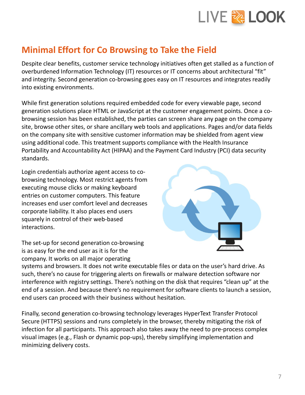

### **Minimal Effort for Co Browsing to Take the Field**

Despite clear benefits, customer service technology initiatives often get stalled as a function of overburdened Information Technology (IT) resources or IT concerns about architectural "fit" and integrity. Second generation co-browsing goes easy on IT resources and integrates readily into existing environments.

While first generation solutions required embedded code for every viewable page, second generation solutions place HTML or JavaScript at the customer engagement points. Once a cobrowsing session has been established, the parties can screen share any page on the company site, browse other sites, or share ancillary web tools and applications. Pages and/or data fields on the company site with sensitive customer information may be shielded from agent view using additional code. This treatment supports compliance with the Health Insurance Portability and Accountability Act (HIPAA) and the Payment Card Industry (PCI) data security standards.

Login credentials authorize agent access to cobrowsing technology. Most restrict agents from executing mouse clicks or making keyboard entries on customer computers. This feature increases end user comfort level and decreases corporate liability. It also places end users squarely in control of their web-based interactions.



The set-up for second generation co-browsing is as easy for the end user as it is for the company. It works on all major operating

systems and browsers. It does not write executable files or data on the user's hard drive. As such, there's no cause for triggering alerts on firewalls or malware detection software nor interference with registry settings. There's nothing on the disk that requires "clean up" at the end of a session. And because there's no requirement for software clients to launch a session, end users can proceed with their business without hesitation.

Finally, second generation co-browsing technology leverages HyperText Transfer Protocol Secure (HTTPS) sessions and runs completely in the browser, thereby mitigating the risk of infection for all participants. This approach also takes away the need to pre-process complex visual images (e.g., Flash or dynamic pop-ups), thereby simplifying implementation and minimizing delivery costs.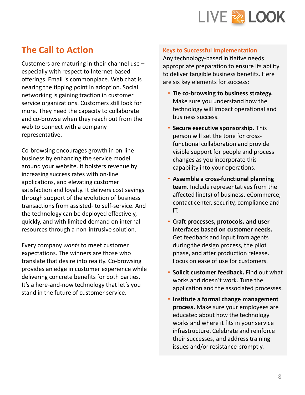

### **The Call to Action**

Customers are maturing in their channel use – especially with respect to Internet-based offerings. Email is commonplace. Web chat is nearing the tipping point in adoption. Social networking is gaining traction in customer service organizations. Customers still look for more. They need the capacity to collaborate and co-browse when they reach out from the web to connect with a company representative.

Co-browsing encourages growth in on-line business by enhancing the service model around your website. It bolsters revenue by increasing success rates with on-line applications, and elevating customer satisfaction and loyalty. It delivers cost savings through support of the evolution of business transactions from assisted- to self-service. And the technology can be deployed effectively, quickly, and with limited demand on internal resources through a non-intrusive solution.

Every company *wants* to meet customer expectations. The winners are those who translate that desire into reality. Co-browsing provides an edge in customer experience while delivering concrete benefits for both parties. It's a here-and-now technology that let's you stand in the future of customer service.

#### **Keys to Successful Implementation**

Any technology-based initiative needs appropriate preparation to ensure its ability to deliver tangible business benefits. Here are six key elements for success:

- **Tie co-browsing to business strategy.** Make sure you understand how the technology will impact operational and business success.
- **Secure executive sponsorship.** This person will set the tone for crossfunctional collaboration and provide visible support for people and process changes as you incorporate this capability into your operations.
- **Assemble a cross-functional planning team.** Include representatives from the affected line(s) of business, eCommerce, contact center, security, compliance and IT.
- **Craft processes, protocols, and user interfaces based on customer needs.** Get feedback and input from agents during the design process, the pilot phase, and after production release. Focus on ease of use for customers.
- **Solicit customer feedback.** Find out what works and doesn't work. Tune the application and the associated processes.
- **Institute a formal change management process.** Make sure your employees are educated about how the technology works and where it fits in your service infrastructure. Celebrate and reinforce their successes, and address training issues and/or resistance promptly.